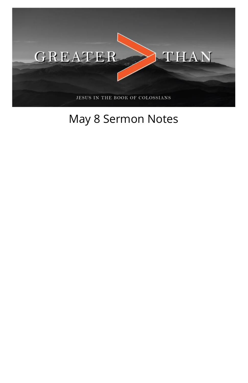

## May 8 Sermon Notes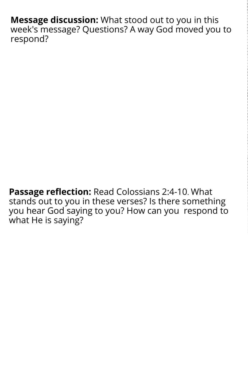**Message discussion:** What stood out to you in this week's message? Questions? A way God moved you to respond?

**Passage reflection:** Read Colossians 2:4-10. What stands out to you in these verses? Is there something you hear God saying to you? How can you respond to what He is saying?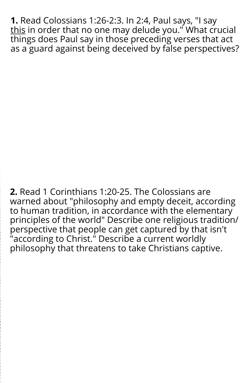**1.** Read Colossians 1:26-2:3. In 2:4, Paul says, "I say t<u>his</u> in order that no one may delude you." What crucial things does Paul say in those preceding verses that act as a guard against being deceived by false perspectives?

**2.** Read 1 Corinthians 1:20-25. The Colossians are warned about "philosophy and empty deceit, according to human tradition, in accordance with the elementary principles of the world" Describe one religious tradition/ perspective that people can get captured by that isn't "according to Christ." Describe a current worldly philosophy that threatens to take Christians captive.